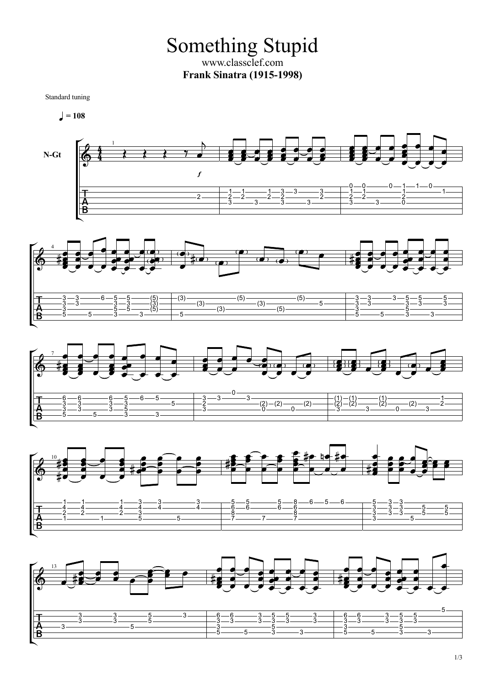Something Stupid www.classclef.com **Frank Sinatra (1915-1998)**

Standard tuning











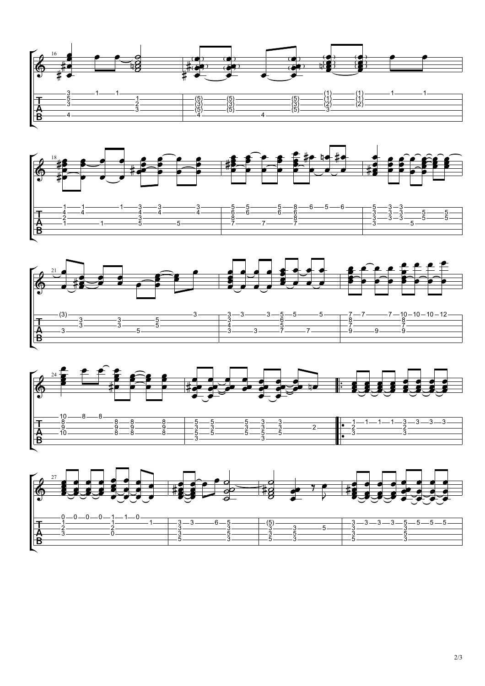